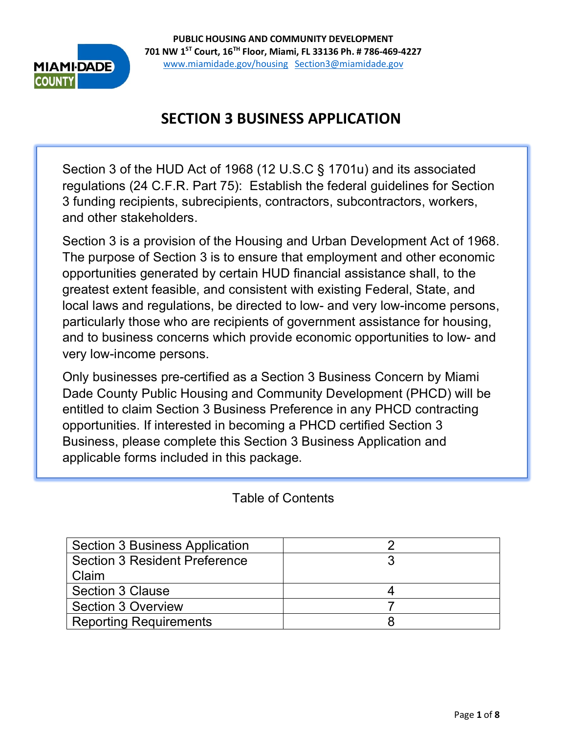

# **SECTION 3 BUSINESS APPLICATION**

Section 3 of the HUD Act of 1968 (12 U.S.C § 1701u) and its associated regulations (24 C.F.R. Part 75): Establish the federal guidelines for Section 3 funding recipients, subrecipients, contractors, subcontractors, workers, and other stakeholders.

Section 3 is a provision of the Housing and Urban Development Act of 1968. The purpose of Section 3 is to ensure that employment and other economic opportunities generated by certain HUD financial assistance shall, to the greatest extent feasible, and consistent with existing Federal, State, and local laws and regulations, be directed to low- and very low-income persons, particularly those who are recipients of government assistance for housing, and to business concerns which provide economic opportunities to low- and very low-income persons.

Only businesses pre-certified as a Section 3 Business Concern by Miami Dade County Public Housing and Community Development (PHCD) will be entitled to claim Section 3 Business Preference in any PHCD contracting opportunities. If interested in becoming a PHCD certified Section 3 Business, please complete this Section 3 Business Application and applicable forms included in this package.

Table of Contents

| <b>Section 3 Business Application</b> |  |
|---------------------------------------|--|
| <b>Section 3 Resident Preference</b>  |  |
| Claim                                 |  |
| <b>Section 3 Clause</b>               |  |
| <b>Section 3 Overview</b>             |  |
| <b>Reporting Requirements</b>         |  |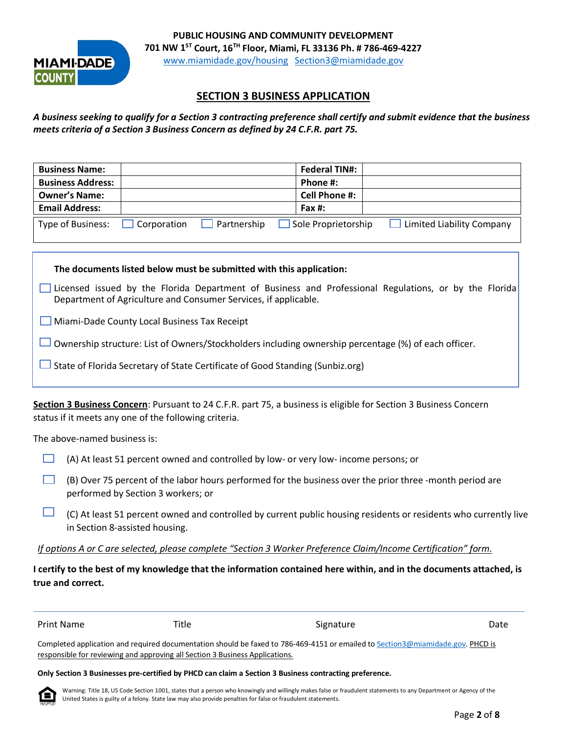

### **SECTION 3 BUSINESS APPLICATION**

*A business seeking to qualify for a Section 3 contracting preference shall certify and submit evidence that the business meets criteria of a Section 3 Business Concern as defined by 24 C.F.R. part 75.*

| <b>Business Name:</b>    |                    |             | <b>Federal TIN#:</b> |                           |
|--------------------------|--------------------|-------------|----------------------|---------------------------|
| <b>Business Address:</b> |                    |             | Phone #:             |                           |
| <b>Owner's Name:</b>     |                    |             | Cell Phone #:        |                           |
| <b>Email Address:</b>    |                    |             | Fax $\#$ :           |                           |
| Type of Business:        | <b>Corporation</b> | Partnership | Sole Proprietorship  | Limited Liability Company |

**The documents listed below must be submitted with this application:**

Licensed issued by the Florida Department of Business and Professional Regulations, or by the Florida Department of Agriculture and Consumer Services, if applicable.

Miami-Dade County Local Business Tax Receipt

Ownership structure: List of Owners/Stockholders including ownership percentage (%) of each officer.

 $\Box$  State of Florida Secretary of State Certificate of Good Standing (Sunbiz.org)

**Section 3 Business Concern**: Pursuant to 24 C.F.R. part 75, a business is eligible for Section 3 Business Concern status if it meets any one of the following criteria.

The above-named business is:

- $\Box$  (A) At least 51 percent owned and controlled by low- or very low- income persons; or
- $\Box$  (B) Over 75 percent of the labor hours performed for the business over the prior three -month period are performed by Section 3 workers; or
- (C) At least 51 percent owned and controlled by current public housing residents or residents who currently live in Section 8-assisted housing.

*If options A or C are selected, please complete "Section 3 Worker Preference Claim/Income Certification" form*.

**I certify to the best of my knowledge that the information contained here within, and in the documents attached, is true and correct.**

| Print Name                                                                   | Title | Signature                                                                                                                      | Date |
|------------------------------------------------------------------------------|-------|--------------------------------------------------------------------------------------------------------------------------------|------|
|                                                                              |       | Completed application and required documentation should be faxed to 786-469-4151 or emailed to Section3@miamidade.gov. PHCD is |      |
| responsible for reviewing and approving all Section 3 Business Applications. |       |                                                                                                                                |      |

#### **Only Section 3 Businesses pre-certified by PHCD can claim a Section 3 Business contracting preference.**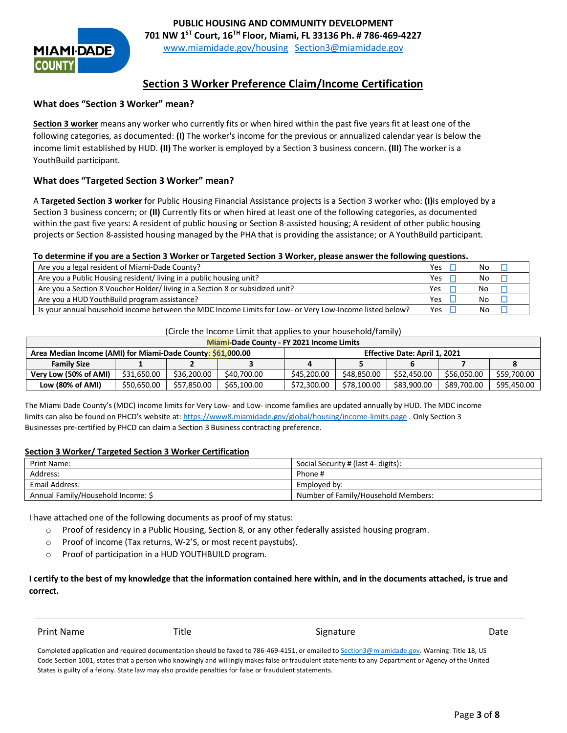

### **Section 3 Worker Preference Claim/Income Certification**

#### **What does "Section 3 Worker" mean?**

**Section 3 worker** means any worker who currently fits or when hired within the past five years fit at least one of the following categories, as documented: **(I)** The worker's income for the previous or annualized calendar year is below the income limit established by HUD. **(II)** The worker is employed by a Section 3 business concern. **(III)** The worker is a YouthBuild participant.

#### **What does "Targeted Section 3 Worker" mean?**

A **Targeted Section 3 worker** for Public Housing Financial Assistance projects is a Section 3 worker who: **(I)**Is employed by a Section 3 business concern; or **(II)** Currently fits or when hired at least one of the following categories, as documented within the past five years: A resident of public housing or Section 8-assisted housing; A resident of other public housing projects or Section 8-assisted housing managed by the PHA that is providing the assistance; or A YouthBuild participant.

#### **To determine if you are a Section 3 Worker or Targeted Section 3 Worker, please answer the following questions.**

| Are you a legal resident of Miami-Dade County?                                                          | Yes        | No |  |
|---------------------------------------------------------------------------------------------------------|------------|----|--|
| Are you a Public Housing resident/ living in a public housing unit?                                     | Yes        | No |  |
| Are you a Section 8 Voucher Holder/ living in a Section 8 or subsidized unit?                           | Yes        | No |  |
| Are you a HUD YouthBuild program assistance?                                                            | <b>Yes</b> | No |  |
| Is your annual household income between the MDC Income Limits for Low- or Very Low-Income listed below? | Yes        | No |  |

#### (Circle the Income Limit that applies to your household/family)

| Miami-Dade County - FY 2021 Income Limits                   |             |             |                               |             |             |             |             |             |
|-------------------------------------------------------------|-------------|-------------|-------------------------------|-------------|-------------|-------------|-------------|-------------|
| Area Median Income (AMI) for Miami-Dade County: \$61,000.00 |             |             | Effective Date: April 1, 2021 |             |             |             |             |             |
| <b>Family Size</b>                                          |             |             |                               |             |             |             |             |             |
| Very Low (50% of AMI)                                       | \$31,650.00 | \$36,200.00 | \$40,700.00                   | \$45,200.00 | \$48.850.00 | \$52,450.00 | \$56.050.00 | \$59,700.00 |
| Low (80% of AMI)                                            | \$50,650.00 | \$57.850.00 | \$65,100.00                   | \$72,300.00 | \$78,100.00 | \$83,900.00 | \$89,700.00 | \$95,450.00 |

The Miami Dade County's (MDC) income limits for Very Low- and Low- income families are updated annually by HUD. The MDC income limits can also be found on PHCD's website at:<https://www8.miamidade.gov/global/housing/income-limits.page> . Only Section 3 Businesses pre-certified by PHCD can claim a Section 3 Business contracting preference.

#### **Section 3 Worker/ Targeted Section 3 Worker Certification**

| <b>Print Name:</b>                 | Social Security # (last 4- digits): |
|------------------------------------|-------------------------------------|
| Address:                           | Phone #                             |
| Email Address:                     | Employed by:                        |
| Annual Family/Household Income: \$ | Number of Family/Household Members: |

I have attached one of the following documents as proof of my status:

- o Proof of residency in a Public Housing, Section 8, or any other federally assisted housing program.
- o Proof of income (Tax returns, W-2'S, or most recent paystubs).
- o Proof of participation in a HUD YOUTHBUILD program.

#### **I certify to the best of my knowledge that the information contained here within, and in the documents attached, is true and correct.**

Print Name **Title** Signature Signature **Container Signature** Date

Completed application and required documentation should be faxed to 786-469-4151, or emailed t[o Section3@miamidade.gov.](mailto:Section3@miamidade.gov) Warning: Title 18, US Code Section 1001, states that a person who knowingly and willingly makes false or fraudulent statements to any Department or Agency of the United States is guilty of a felony. State law may also provide penalties for false or fraudulent statements.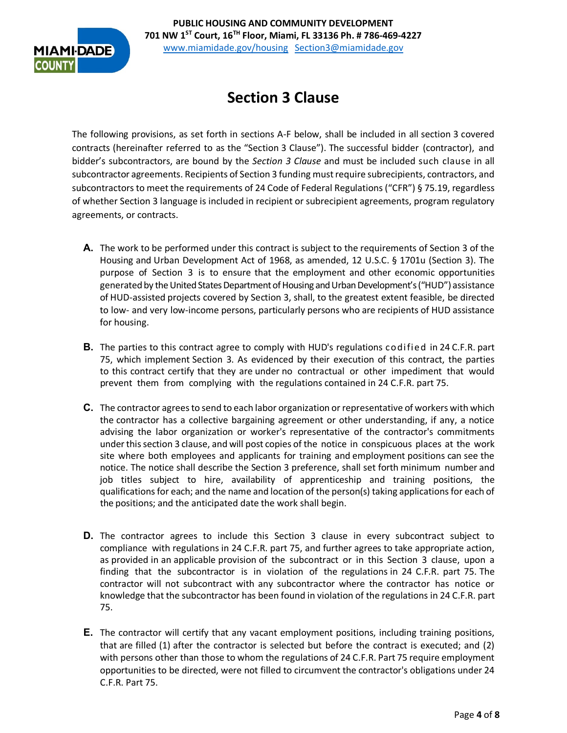

# **Section 3 Clause**

The following provisions, as set forth in sections A-F below, shall be included in all section 3 covered contracts (hereinafter referred to as the "Section 3 Clause"). The successful bidder (contractor), and bidder's subcontractors, are bound by the *Section 3 Clause* and must be included such clause in all subcontractor agreements. Recipients of Section 3 funding must require subrecipients, contractors, and subcontractors to meet the requirements of 24 Code of Federal Regulations ("CFR") § 75.19, regardless of whether Section 3 language is included in recipient or subrecipient agreements, program regulatory agreements, or contracts.

- **A.** The work to be performed under this contract is subject to the requirements of Section 3 of the Housing and Urban Development Act of 1968, as amended, 12 U.S.C. § 1701u (Section 3). The purpose of Section 3 is to ensure that the employment and other economic opportunities generated by the United States Department of Housing and Urban Development's ("HUD") assistance of HUD-assisted projects covered by Section 3, shall, to the greatest extent feasible, be directed to low- and very low-income persons, particularly persons who are recipients of HUD assistance for housing.
- **B.** The parties to this contract agree to comply with HUD's regulations codified in 24 C.F.R. part 75, which implement Section 3. As evidenced by their execution of this contract, the parties to this contract certify that they are under no contractual or other impediment that would prevent them from complying with the regulations contained in 24 C.F.R. part 75.
- **C.** The contractor agrees to send to each labor organization or representative of workers with which the contractor has a collective bargaining agreement or other understanding, if any, a notice advising the labor organization or worker's representative of the contractor's commitments underthissection 3 clause, and will post copies of the notice in conspicuous places at the work site where both employees and applicants for training and employment positions can see the notice. The notice shall describe the Section 3 preference, shall set forth minimum number and job titles subject to hire, availability of apprenticeship and training positions, the qualifications for each; and the name and location of the person(s) taking applications for each of the positions; and the anticipated date the work shall begin.
- **D.** The contractor agrees to include this Section 3 clause in every subcontract subject to compliance with regulations in 24 C.F.R. part 75, and further agrees to take appropriate action, as provided in an applicable provision of the subcontract or in this Section 3 clause, upon a finding that the subcontractor is in violation of the regulations in 24 C.F.R. part 75. The contractor will not subcontract with any subcontractor where the contractor has notice or knowledge that the subcontractor has been found in violation of the regulations in 24 C.F.R. part 75.
- **E.** The contractor will certify that any vacant employment positions, including training positions, that are filled (1) after the contractor is selected but before the contract is executed; and (2) with persons other than those to whom the regulations of 24 C.F.R. Part 75 require employment opportunities to be directed, were not filled to circumvent the contractor's obligations under 24 C.F.R. Part 75.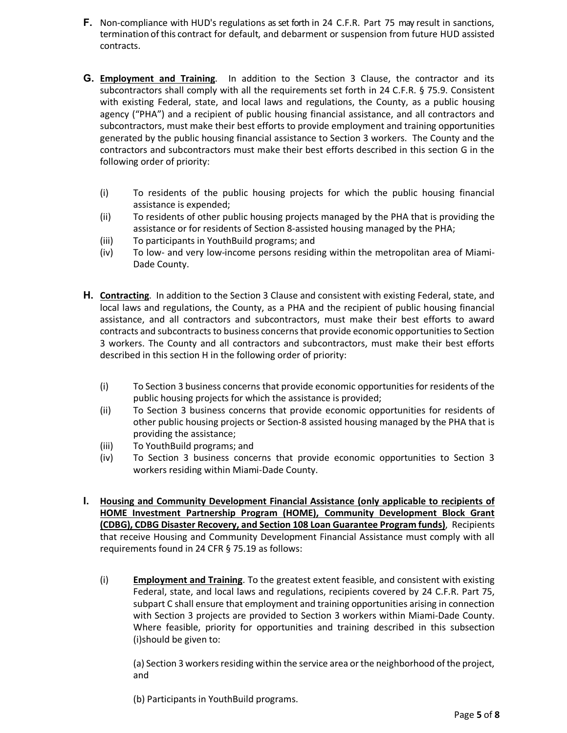- **F.** Non-compliance with HUD's regulations as set forth in 24 C.F.R. Part 75 may result in sanctions, termination of this contract for default, and debarment or suspension from future HUD assisted contracts.
- **G. Employment and Training**. In addition to the Section 3 Clause, the contractor and its subcontractors shall comply with all the requirements set forth in 24 C.F.R. § 75.9. Consistent with existing Federal, state, and local laws and regulations, the County, as a public housing agency ("PHA") and a recipient of public housing financial assistance, and all contractors and subcontractors, must make their best efforts to provide employment and training opportunities generated by the public housing financial assistance to Section 3 workers. The County and the contractors and subcontractors must make their best efforts described in this section G in the following order of priority:
	- (i) To residents of the public housing projects for which the public housing financial assistance is expended;
	- (ii) To residents of other public housing projects managed by the PHA that is providing the assistance or for residents of Section 8-assisted housing managed by the PHA;
	- (iii) To participants in YouthBuild programs; and
	- (iv) To low- and very low-income persons residing within the metropolitan area of Miami-Dade County.
- **H. Contracting**. In addition to the Section 3 Clause and consistent with existing Federal, state, and local laws and regulations, the County, as a PHA and the recipient of public housing financial assistance, and all contractors and subcontractors, must make their best efforts to award contracts and subcontracts to business concerns that provide economic opportunities to Section 3 workers. The County and all contractors and subcontractors, must make their best efforts described in this section H in the following order of priority:
	- (i) To Section 3 business concerns that provide economic opportunities for residents of the public housing projects for which the assistance is provided;
	- (ii) To Section 3 business concerns that provide economic opportunities for residents of other public housing projects or Section-8 assisted housing managed by the PHA that is providing the assistance;
	- (iii) To YouthBuild programs; and
	- (iv) To Section 3 business concerns that provide economic opportunities to Section 3 workers residing within Miami-Dade County.
- **I. Housing and Community Development Financial Assistance (only applicable to recipients of HOME Investment Partnership Program (HOME), Community Development Block Grant (CDBG), CDBG Disaster Recovery, and Section 108 Loan Guarantee Program funds)**, Recipients that receive Housing and Community Development Financial Assistance must comply with all requirements found in 24 CFR § 75.19 as follows:
	- (i) **Employment and Training**. To the greatest extent feasible, and consistent with existing Federal, state, and local laws and regulations, recipients covered by 24 C.F.R. Part 75, subpart C shall ensure that employment and training opportunities arising in connection with Section 3 projects are provided to Section 3 workers within Miami-Dade County. Where feasible, priority for opportunities and training described in this subsection (i)should be given to:

(a) Section 3 workers residing within the service area or the neighborhood of the project, and

(b) Participants in YouthBuild programs.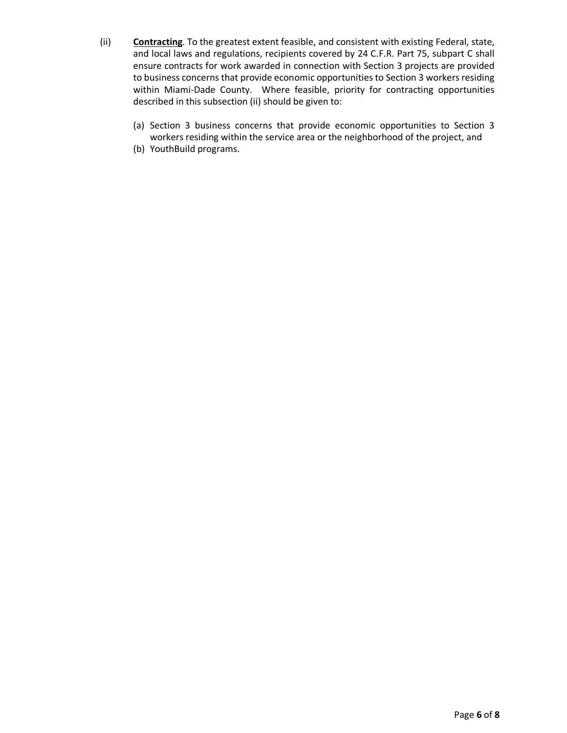- (ii) **Contracting**. To the greatest extent feasible, and consistent with existing Federal, state, and local laws and regulations, recipients covered by 24 C.F.R. Part 75, subpart C shall ensure contracts for work awarded in connection with Section 3 projects are provided to business concerns that provide economic opportunities to Section 3 workers residing within Miami-Dade County. Where feasible, priority for contracting opportunities described in this subsection (ii) should be given to:
	- (a) Section 3 business concerns that provide economic opportunities to Section 3 workers residing within the service area or the neighborhood of the project, and
	- (b) YouthBuild programs.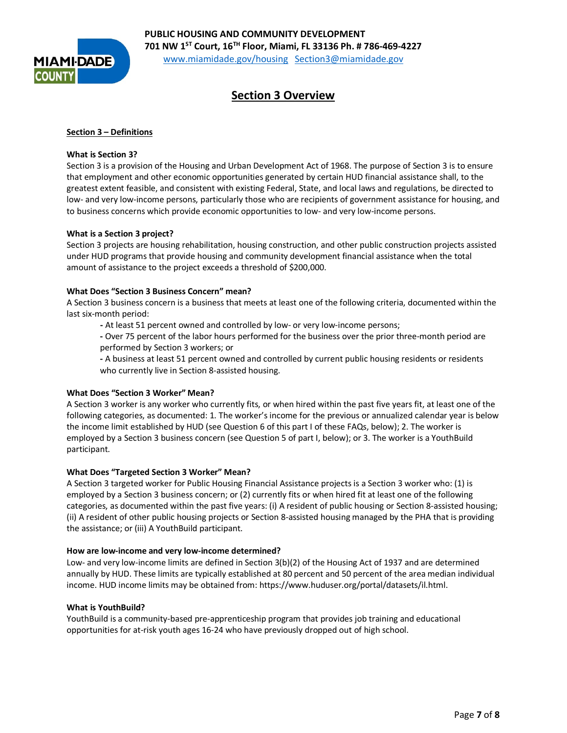

## **Section 3 Overview**

#### **Section 3 – Definitions**

#### **What is Section 3?**

Section 3 is a provision of the Housing and Urban Development Act of 1968. The purpose of Section 3 is to ensure that employment and other economic opportunities generated by certain HUD financial assistance shall, to the greatest extent feasible, and consistent with existing Federal, State, and local laws and regulations, be directed to low- and very low-income persons, particularly those who are recipients of government assistance for housing, and to business concerns which provide economic opportunities to low- and very low-income persons.

#### **What is a Section 3 project?**

Section 3 projects are housing rehabilitation, housing construction, and other public construction projects assisted under HUD programs that provide housing and community development financial assistance when the total amount of assistance to the project exceeds a threshold of \$200,000.

#### **What Does "Section 3 Business Concern" mean?**

A Section 3 business concern is a business that meets at least one of the following criteria, documented within the last six-month period:

 **-** At least 51 percent owned and controlled by low- or very low-income persons;

**-** Over 75 percent of the labor hours performed for the business over the prior three-month period are performed by Section 3 workers; or

**-** A business at least 51 percent owned and controlled by current public housing residents or residents who currently live in Section 8-assisted housing.

#### **What Does "Section 3 Worker" Mean?**

A Section 3 worker is any worker who currently fits, or when hired within the past five years fit, at least one of the following categories, as documented: 1. The worker's income for the previous or annualized calendar year is below the income limit established by HUD (see Question 6 of this part I of these FAQs, below); 2. The worker is employed by a Section 3 business concern (see Question 5 of part I, below); or 3. The worker is a YouthBuild participant.

#### **What Does "Targeted Section 3 Worker" Mean?**

A Section 3 targeted worker for Public Housing Financial Assistance projects is a Section 3 worker who: (1) is employed by a Section 3 business concern; or (2) currently fits or when hired fit at least one of the following categories, as documented within the past five years: (i) A resident of public housing or Section 8-assisted housing; (ii) A resident of other public housing projects or Section 8-assisted housing managed by the PHA that is providing the assistance; or (iii) A YouthBuild participant.

#### **How are low-income and very low-income determined?**

Low- and very low-income limits are defined in Section 3(b)(2) of the Housing Act of 1937 and are determined annually by HUD. These limits are typically established at 80 percent and 50 percent of the area median individual income. HUD income limits may be obtained from: https://www.huduser.org/portal/datasets/il.html.

#### **What is YouthBuild?**

YouthBuild is a community-based pre-apprenticeship program that provides job training and educational opportunities for at-risk youth ages 16-24 who have previously dropped out of high school.